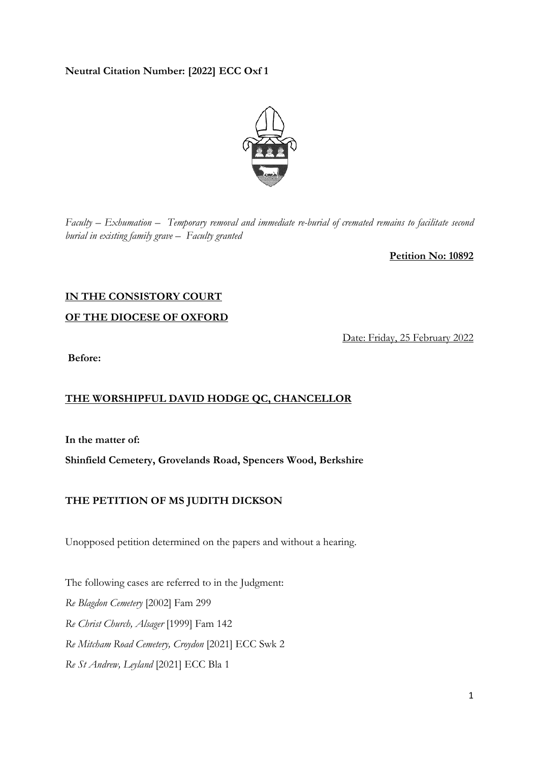### **Neutral Citation Number: [2022] ECC Oxf 1**



*Faculty – Exhumation – Temporary removal and immediate re-burial of cremated remains to facilitate second burial in existing family grave – Faculty granted* 

**Petition No: 10892** 

# **IN THE CONSISTORY COURT**

**OF THE DIOCESE OF OXFORD** 

Date: Friday, 25 February 2022

**Before:**

## **THE WORSHIPFUL DAVID HODGE QC, CHANCELLOR**

**In the matter of:** 

**Shinfield Cemetery, Grovelands Road, Spencers Wood, Berkshire** 

## **THE PETITION OF MS JUDITH DICKSON**

Unopposed petition determined on the papers and without a hearing.

The following cases are referred to in the Judgment: *Re Blagdon Cemetery* [2002] Fam 299 *Re Christ Church, Alsager* [1999] Fam 142 *Re Mitcham Road Cemetery, Croydon* [2021] ECC Swk 2 *Re St Andrew, Leyland* [2021] ECC Bla 1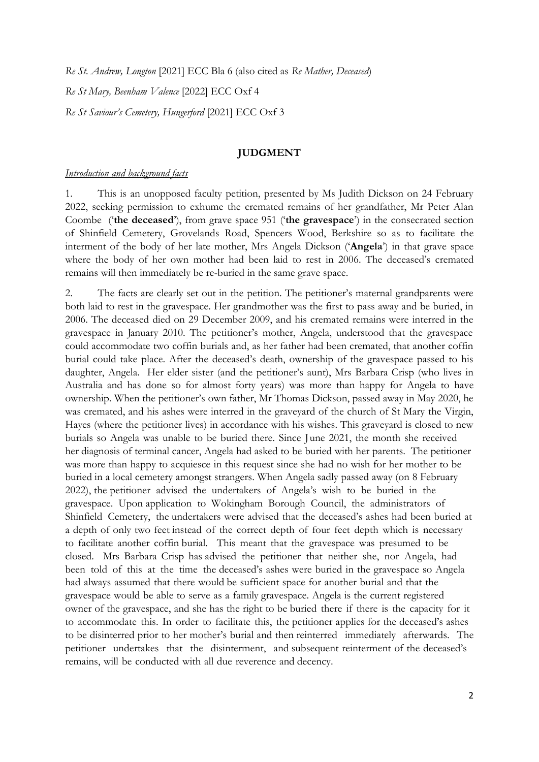*Re St. Andrew, Longton* [2021] ECC Bla 6 (also cited as *Re Mather, Deceased*) *Re St Mary, Beenham Valence* [2022] ECC Oxf 4

*Re St Saviour's Cemetery, Hungerford* [2021] ECC Oxf 3

#### **JUDGMENT**

#### *Introduction and background facts*

1. This is an unopposed faculty petition, presented by Ms Judith Dickson on 24 February 2022, seeking permission to exhume the cremated remains of her grandfather, Mr Peter Alan Coombe ('**the deceased**'), from grave space 951 ('**the gravespace**') in the consecrated section of Shinfield Cemetery, Grovelands Road, Spencers Wood, Berkshire so as to facilitate the interment of the body of her late mother, Mrs Angela Dickson ('**Angela**') in that grave space where the body of her own mother had been laid to rest in 2006. The deceased's cremated remains will then immediately be re-buried in the same grave space.

2. The facts are clearly set out in the petition. The petitioner's maternal grandparents were both laid to rest in the gravespace. Her grandmother was the first to pass away and be buried, in 2006. The deceased died on 29 December 2009, and his cremated remains were interred in the gravespace in January 2010. The petitioner's mother, Angela, understood that the gravespace could accommodate two coffin burials and, as her father had been cremated, that another coffin burial could take place. After the deceased's death, ownership of the gravespace passed to his daughter, Angela. Her elder sister (and the petitioner's aunt), Mrs Barbara Crisp (who lives in Australia and has done so for almost forty years) was more than happy for Angela to have ownership. When the petitioner's own father, Mr Thomas Dickson, passed away in May 2020, he was cremated, and his ashes were interred in the graveyard of the church of St Mary the Virgin, Hayes (where the petitioner lives) in accordance with his wishes. This graveyard is closed to new burials so Angela was unable to be buried there. Since June 2021, the month she received her diagnosis of terminal cancer, Angela had asked to be buried with her parents. The petitioner was more than happy to acquiesce in this request since she had no wish for her mother to be buried in a local cemetery amongst strangers. When Angela sadly passed away (on 8 February 2022), the petitioner advised the undertakers of Angela's wish to be buried in the gravespace. Upon application to Wokingham Borough Council, the administrators of Shinfield Cemetery, the undertakers were advised that the deceased's ashes had been buried at a depth of only two feet instead of the correct depth of four feet depth which is necessary to facilitate another coffin burial. This meant that the gravespace was presumed to be closed. Mrs Barbara Crisp has advised the petitioner that neither she, nor Angela, had been told of this at the time the deceased's ashes were buried in the gravespace so Angela had always assumed that there would be sufficient space for another burial and that the gravespace would be able to serve as a family gravespace. Angela is the current registered owner of the gravespace, and she has the right to be buried there if there is the capacity for it to accommodate this. In order to facilitate this, the petitioner applies for the deceased's ashes to be disinterred prior to her mother's burial and then reinterred immediately afterwards. The petitioner undertakes that the disinterment, and subsequent reinterment of the deceased's remains, will be conducted with all due reverence and decency.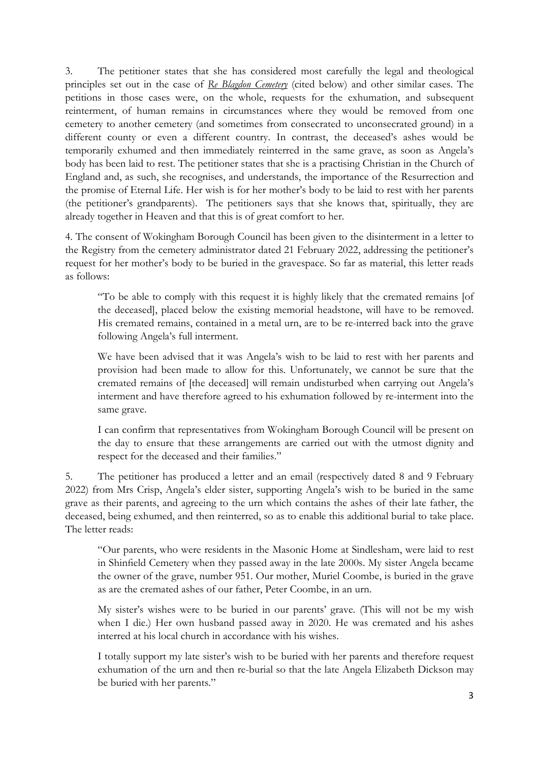3. The petitioner states that she has considered most carefully the legal and theological principles set out in the case of *Re Blagdon Cemetery* (cited below) and other similar cases. The petitions in those cases were, on the whole, requests for the exhumation, and subsequent reinterment, of human remains in circumstances where they would be removed from one cemetery to another cemetery (and sometimes from consecrated to unconsecrated ground) in a different county or even a different country. In contrast, the deceased's ashes would be temporarily exhumed and then immediately reinterred in the same grave, as soon as Angela's body has been laid to rest. The petitioner states that she is a practising Christian in the Church of England and, as such, she recognises, and understands, the importance of the Resurrection and the promise of Eternal Life. Her wish is for her mother's body to be laid to rest with her parents (the petitioner's grandparents). The petitioners says that she knows that, spiritually, they are already together in Heaven and that this is of great comfort to her.

4. The consent of Wokingham Borough Council has been given to the disinterment in a letter to the Registry from the cemetery administrator dated 21 February 2022, addressing the petitioner's request for her mother's body to be buried in the gravespace. So far as material, this letter reads as follows:

"To be able to comply with this request it is highly likely that the cremated remains [of the deceased], placed below the existing memorial headstone, will have to be removed. His cremated remains, contained in a metal urn, are to be re-interred back into the grave following Angela's full interment.

We have been advised that it was Angela's wish to be laid to rest with her parents and provision had been made to allow for this. Unfortunately, we cannot be sure that the cremated remains of [the deceased] will remain undisturbed when carrying out Angela's interment and have therefore agreed to his exhumation followed by re-interment into the same grave.

I can confirm that representatives from Wokingham Borough Council will be present on the day to ensure that these arrangements are carried out with the utmost dignity and respect for the deceased and their families."

5. The petitioner has produced a letter and an email (respectively dated 8 and 9 February 2022) from Mrs Crisp, Angela's elder sister, supporting Angela's wish to be buried in the same grave as their parents, and agreeing to the urn which contains the ashes of their late father, the deceased, being exhumed, and then reinterred, so as to enable this additional burial to take place. The letter reads:

"Our parents, who were residents in the Masonic Home at Sindlesham, were laid to rest in Shinfield Cemetery when they passed away in the late 2000s. My sister Angela became the owner of the grave, number 951. Our mother, Muriel Coombe, is buried in the grave as are the cremated ashes of our father, Peter Coombe, in an urn.

My sister's wishes were to be buried in our parents' grave. (This will not be my wish when I die.) Her own husband passed away in 2020. He was cremated and his ashes interred at his local church in accordance with his wishes.

I totally support my late sister's wish to be buried with her parents and therefore request exhumation of the urn and then re-burial so that the late Angela Elizabeth Dickson may be buried with her parents."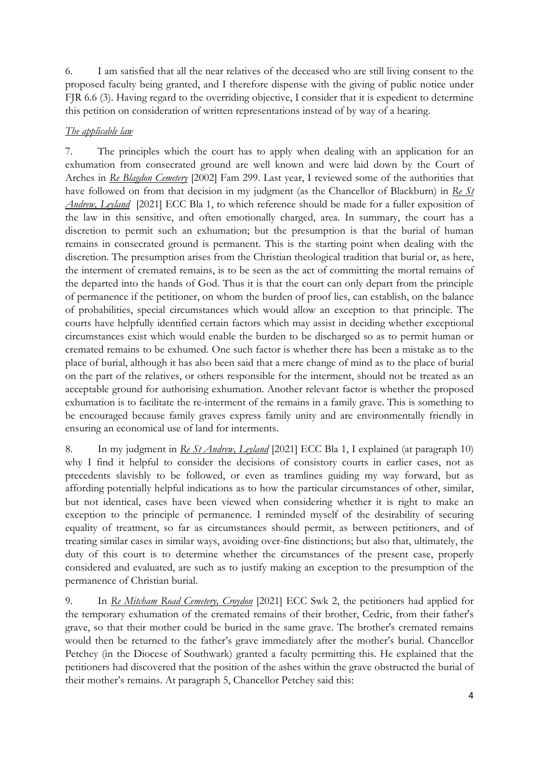6. I am satisfied that all the near relatives of the deceased who are still living consent to the proposed faculty being granted, and I therefore dispense with the giving of public notice under FJR 6.6 (3). Having regard to the overriding objective, I consider that it is expedient to determine this petition on consideration of written representations instead of by way of a hearing.

## *The applicable law*

7. The principles which the court has to apply when dealing with an application for an exhumation from consecrated ground are well known and were laid down by the Court of Arches in *Re Blagdon Cemetery* [2002] Fam 299. Last year, I reviewed some of the authorities that have followed on from that decision in my judgment (as the Chancellor of Blackburn) in *Re St Andrew, Leyland* [2021] ECC Bla 1, to which reference should be made for a fuller exposition of the law in this sensitive, and often emotionally charged, area. In summary, the court has a discretion to permit such an exhumation; but the presumption is that the burial of human remains in consecrated ground is permanent. This is the starting point when dealing with the discretion. The presumption arises from the Christian theological tradition that burial or, as here, the interment of cremated remains, is to be seen as the act of committing the mortal remains of the departed into the hands of God. Thus it is that the court can only depart from the principle of permanence if the petitioner, on whom the burden of proof lies, can establish, on the balance of probabilities, special circumstances which would allow an exception to that principle. The courts have helpfully identified certain factors which may assist in deciding whether exceptional circumstances exist which would enable the burden to be discharged so as to permit human or cremated remains to be exhumed. One such factor is whether there has been a mistake as to the place of burial, although it has also been said that a mere change of mind as to the place of burial on the part of the relatives, or others responsible for the interment, should not be treated as an acceptable ground for authorising exhumation. Another relevant factor is whether the proposed exhumation is to facilitate the re-interment of the remains in a family grave. This is something to be encouraged because family graves express family unity and are environmentally friendly in ensuring an economical use of land for interments.

8. In my judgment in *Re St Andrew, Leyland* [2021] ECC Bla 1, I explained (at paragraph 10) why I find it helpful to consider the decisions of consistory courts in earlier cases, not as precedents slavishly to be followed, or even as tramlines guiding my way forward, but as affording potentially helpful indications as to how the particular circumstances of other, similar, but not identical, cases have been viewed when considering whether it is right to make an exception to the principle of permanence. I reminded myself of the desirability of securing equality of treatment, so far as circumstances should permit, as between petitioners, and of treating similar cases in similar ways, avoiding over-fine distinctions; but also that, ultimately, the duty of this court is to determine whether the circumstances of the present case, properly considered and evaluated, are such as to justify making an exception to the presumption of the permanence of Christian burial.

9. In *Re Mitcham Road Cemetery, Croydon* [2021] ECC Swk 2, the petitioners had applied for the temporary exhumation of the cremated remains of their brother, Cedric, from their father's grave, so that their mother could be buried in the same grave. The brother's cremated remains would then be returned to the father's grave immediately after the mother's burial. Chancellor Petchey (in the Diocese of Southwark) granted a faculty permitting this. He explained that the petitioners had discovered that the position of the ashes within the grave obstructed the burial of their mother's remains. At paragraph 5, Chancellor Petchey said this: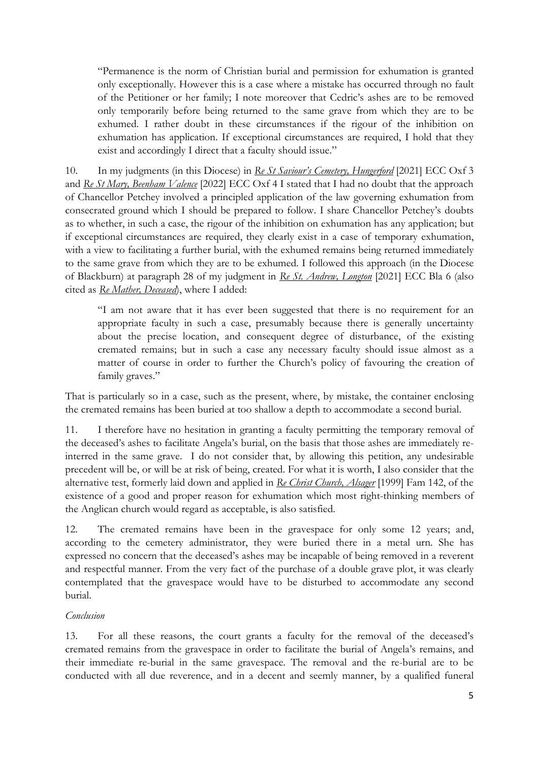"Permanence is the norm of Christian burial and permission for exhumation is granted only exceptionally. However this is a case where a mistake has occurred through no fault of the Petitioner or her family; I note moreover that Cedric's ashes are to be removed only temporarily before being returned to the same grave from which they are to be exhumed. I rather doubt in these circumstances if the rigour of the inhibition on exhumation has application. If exceptional circumstances are required, I hold that they exist and accordingly I direct that a faculty should issue."

10. In my judgments (in this Diocese) in *Re St Saviour's Cemetery, Hungerford* [2021] ECC Oxf 3 and *Re St Mary, Beenham Valence* [2022] ECC Oxf 4 I stated that I had no doubt that the approach of Chancellor Petchey involved a principled application of the law governing exhumation from consecrated ground which I should be prepared to follow. I share Chancellor Petchey's doubts as to whether, in such a case, the rigour of the inhibition on exhumation has any application; but if exceptional circumstances are required, they clearly exist in a case of temporary exhumation, with a view to facilitating a further burial, with the exhumed remains being returned immediately to the same grave from which they are to be exhumed. I followed this approach (in the Diocese of Blackburn) at paragraph 28 of my judgment in *Re St. Andrew, Longton* [2021] ECC Bla 6 (also cited as *Re Mather, Deceased*), where I added:

"I am not aware that it has ever been suggested that there is no requirement for an appropriate faculty in such a case, presumably because there is generally uncertainty about the precise location, and consequent degree of disturbance, of the existing cremated remains; but in such a case any necessary faculty should issue almost as a matter of course in order to further the Church's policy of favouring the creation of family graves."

That is particularly so in a case, such as the present, where, by mistake, the container enclosing the cremated remains has been buried at too shallow a depth to accommodate a second burial.

11. I therefore have no hesitation in granting a faculty permitting the temporary removal of the deceased's ashes to facilitate Angela's burial, on the basis that those ashes are immediately reinterred in the same grave. I do not consider that, by allowing this petition, any undesirable precedent will be, or will be at risk of being, created. For what it is worth, I also consider that the alternative test, formerly laid down and applied in *Re Christ Church, Alsager* [1999] Fam 142, of the existence of a good and proper reason for exhumation which most right-thinking members of the Anglican church would regard as acceptable, is also satisfied.

12. The cremated remains have been in the gravespace for only some 12 years; and, according to the cemetery administrator, they were buried there in a metal urn. She has expressed no concern that the deceased's ashes may be incapable of being removed in a reverent and respectful manner. From the very fact of the purchase of a double grave plot, it was clearly contemplated that the gravespace would have to be disturbed to accommodate any second burial.

#### *Conclusion*

13. For all these reasons, the court grants a faculty for the removal of the deceased's cremated remains from the gravespace in order to facilitate the burial of Angela's remains, and their immediate re-burial in the same gravespace. The removal and the re-burial are to be conducted with all due reverence, and in a decent and seemly manner, by a qualified funeral